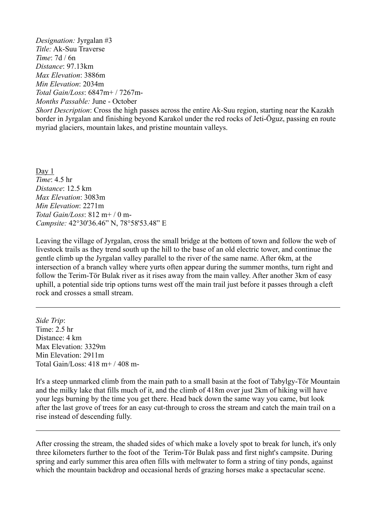*Designation:* Jyrgalan #3 *Title:* Ak-Suu Traverse *Time*: 7d / 6n *Distance*: 97.13km *Max Elevation*: 3886m *Min Elevation*: 2034m *Total Gain/Loss*: 6847m+ / 7267m-*Months Passable:* June - October

*Short Description*: Cross the high passes across the entire Ak-Suu region, starting near the Kazakh border in Jyrgalan and finishing beyond Karakol under the red rocks of Jeti-Öguz, passing en route myriad glaciers, mountain lakes, and pristine mountain valleys.

Day 1 *Time*: 4.5 hr *Distance*: 12.5 km *Max Elevation*: 3083m *Min Elevation*: 2271m *Total Gain/Loss*: 812 m+ / 0 m-*Campsite:* 42°30'36.46" N, 78°58'53.48" E

Leaving the village of Jyrgalan, cross the small bridge at the bottom of town and follow the web of livestock trails as they trend south up the hill to the base of an old electric tower, and continue the gentle climb up the Jyrgalan valley parallel to the river of the same name. After 6km, at the intersection of a branch valley where yurts often appear during the summer months, turn right and follow the Terim-Tör Bulak river as it rises away from the main valley. After another 3km of easy uphill, a potential side trip options turns west off the main trail just before it passes through a cleft rock and crosses a small stream.

*Side Trip*: Time: 2.5 hr Distance: 4 km Max Elevation: 3329m Min Elevation: 2911m Total Gain/Loss: 418 m+ / 408 m-

It's a steep unmarked climb from the main path to a small basin at the foot of Tabylgy-Tör Mountain and the milky lake that fills much of it, and the climb of 418m over just 2km of hiking will have your legs burning by the time you get there. Head back down the same way you came, but look after the last grove of trees for an easy cut-through to cross the stream and catch the main trail on a rise instead of descending fully.

After crossing the stream, the shaded sides of which make a lovely spot to break for lunch, it's only three kilometers further to the foot of the Terim-Tör Bulak pass and first night's campsite. During spring and early summer this area often fills with meltwater to form a string of tiny ponds, against which the mountain backdrop and occasional herds of grazing horses make a spectacular scene.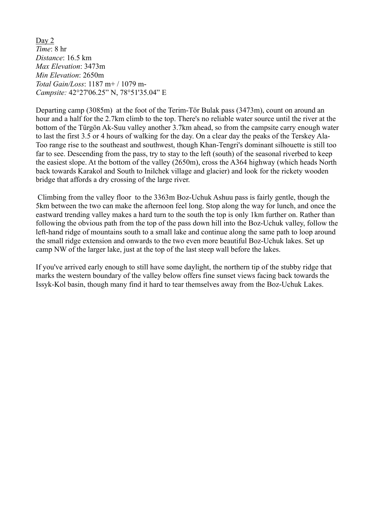Day 2 *Time*: 8 hr *Distance*: 16.5 km *Max Elevation*: 3473m *Min Elevation*: 2650m *Total Gain/Loss*: 1187 m+ / 1079 m-*Campsite:* 42°27'06.25" N, 78°51'35.04" E

Departing camp (3085m) at the foot of the Terim-Tör Bulak pass (3473m), count on around an hour and a half for the 2.7km climb to the top. There's no reliable water source until the river at the bottom of the Türgön Ak-Suu valley another 3.7km ahead, so from the campsite carry enough water to last the first 3.5 or 4 hours of walking for the day. On a clear day the peaks of the Terskey Ala-Too range rise to the southeast and southwest, though Khan-Tengri's dominant silhouette is still too far to see. Descending from the pass, try to stay to the left (south) of the seasonal riverbed to keep the easiest slope. At the bottom of the valley (2650m), cross the A364 highway (which heads North back towards Karakol and South to Inilchek village and glacier) and look for the rickety wooden bridge that affords a dry crossing of the large river.

 Climbing from the valley floor to the 3363m Boz-Uchuk Ashuu pass is fairly gentle, though the 5km between the two can make the afternoon feel long. Stop along the way for lunch, and once the eastward trending valley makes a hard turn to the south the top is only 1km further on. Rather than following the obvious path from the top of the pass down hill into the Boz-Uchuk valley, follow the left-hand ridge of mountains south to a small lake and continue along the same path to loop around the small ridge extension and onwards to the two even more beautiful Boz-Uchuk lakes. Set up camp NW of the larger lake, just at the top of the last steep wall before the lakes.

If you've arrived early enough to still have some daylight, the northern tip of the stubby ridge that marks the western boundary of the valley below offers fine sunset views facing back towards the Issyk-Kol basin, though many find it hard to tear themselves away from the Boz-Uchuk Lakes.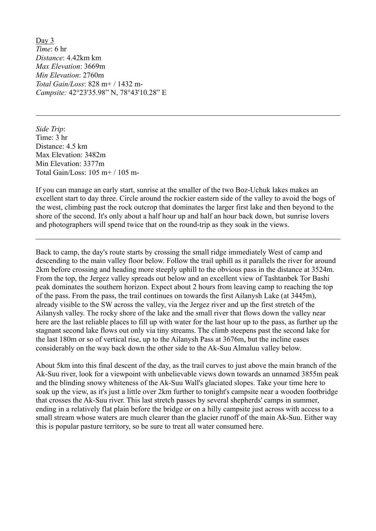Day 3 *Time*: 6 hr *Distance*: 4.42km km *Max Elevation*: 3669m *Min Elevation*: 2760m *Total Gain/Loss*: 828 m+ / 1432 m-*Campsite:* 42°23'35.98" N, 78°43'10.28" E

*Side Trip*: Time: 3 hr Distance: 4.5 km Max Elevation: 3482m Min Elevation: 3377m Total Gain/Loss: 105 m+ / 105 m-

If you can manage an early start, sunrise at the smaller of the two Boz-Uchuk lakes makes an excellent start to day three. Circle around the rockier eastern side of the valley to avoid the bogs of the west, climbing past the rock outcrop that dominates the larger first lake and then beyond to the shore of the second. It's only about a half hour up and half an hour back down, but sunrise lovers and photographers will spend twice that on the round-trip as they soak in the views.

Back to camp, the day's route starts by crossing the small ridge immediately West of camp and descending to the main valley floor below. Follow the trail uphill as it parallels the river for around 2km before crossing and heading more steeply uphill to the obvious pass in the distance at 3524m. From the top, the Jergez valley spreads out below and an excellent view of Tashtanbek Tor Bashi peak dominates the southern horizon. Expect about 2 hours from leaving camp to reaching the top of the pass. From the pass, the trail continues on towards the first Ailanysh Lake (at 3445m), already visible to the SW across the valley, via the Jergez river and up the first stretch of the Ailanysh valley. The rocky shore of the lake and the small river that flows down the valley near here are the last reliable places to fill up with water for the last hour up to the pass, as further up the stagnant second lake flows out only via tiny streams. The climb steepens past the second lake for the last 180m or so of vertical rise, up to the Ailanysh Pass at 3676m, but the incline eases considerably on the way back down the other side to the Ak-Suu Almaluu valley below. About 5km into this final descent of the day, as the trail curves to just above the main branch of the

Ak-Suu river, look for a viewpoint with unbelievable views down towards an unnamed 3855m peak and the blinding snowy whiteness of the Ak-Suu Wall's glaciated slopes. Take your time here to soak up the view, as it's just a little over 2km further to tonight's campsite near a wooden footbridge that crosses the Ak-Suu river. This last stretch passes by several shepherds' camps in summer, ending in a relatively flat plain before the bridge or on a hilly campsite just across with access to a small stream whose waters are much clearer than the glacier runoff of the main Ak-Suu. Either way this is popular pasture territory, so be sure to treat all water consumed here.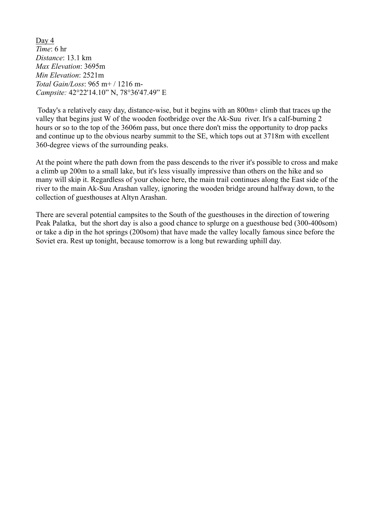Day 4 *Time*: 6 hr *Distance*: 13.1 km *Max Elevation*: 3695m *Min Elevation*: 2521m *Total Gain/Loss*: 965 m+ / 1216 m-*Campsite:* 42°22'14.10" N, 78°36'47.49" E

Today's a relatively easy day, distance-wise, but it begins with an 800m+ climb that traces up the valley that begins just W of the wooden footbridge over the Ak-Suu river. It's a calf-burning 2 hours or so to the top of the 3606m pass, but once there don't miss the opportunity to drop packs and continue up to the obvious nearby summit to the SE, which tops out at 3718m with excellent 360-degree views of the surrounding peaks.

At the point where the path down from the pass descends to the river it's possible to cross and make a climb up 200m to a small lake, but it's less visually impressive than others on the hike and so many will skip it. Regardless of your choice here, the main trail continues along the East side of the river to the main Ak-Suu Arashan valley, ignoring the wooden bridge around halfway down, to the collection of guesthouses at Altyn Arashan.

There are several potential campsites to the South of the guesthouses in the direction of towering Peak Palatka, but the short day is also a good chance to splurge on a guesthouse bed (300-400som) or take a dip in the hot springs (200som) that have made the valley locally famous since before the Soviet era. Rest up tonight, because tomorrow is a long but rewarding uphill day.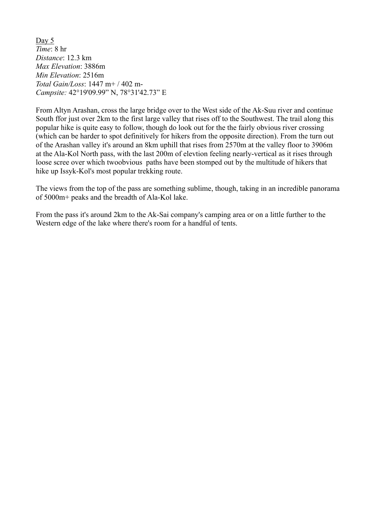Day 5 *Time*: 8 hr *Distance*: 12.3 km *Max Elevation*: 3886m *Min Elevation*: 2516m *Total Gain/Loss*: 1447 m+ / 402 m-*Campsite:* 42°19'09.99" N, 78°31'42.73" E

From Altyn Arashan, cross the large bridge over to the West side of the Ak-Suu river and continue South ffor just over 2km to the first large valley that rises off to the Southwest. The trail along this popular hike is quite easy to follow, though do look out for the the fairly obvious river crossing (which can be harder to spot definitively for hikers from the opposite direction). From the turn out of the Arashan valley it's around an 8km uphill that rises from 2570m at the valley floor to 3906m at the Ala-Kol North pass, with the last 200m of elevtion feeling nearly-vertical as it rises through loose scree over which twoobvious paths have been stomped out by the multitude of hikers that hike up Issyk-Kol's most popular trekking route.

The views from the top of the pass are something sublime, though, taking in an incredible panorama of 5000m+ peaks and the breadth of Ala-Kol lake.

From the pass it's around 2km to the Ak-Sai company's camping area or on a little further to the Western edge of the lake where there's room for a handful of tents.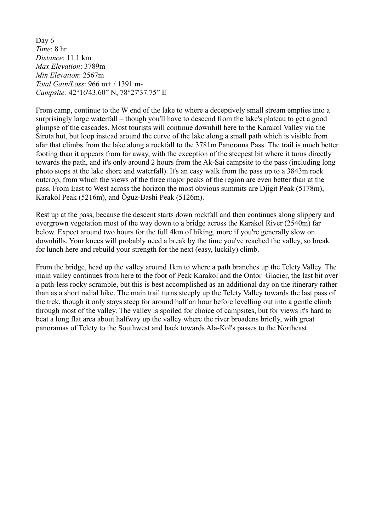Day 6 *Time*: 8 hr *Distance*: 11.1 km *Max Elevation*: 3789m *Min Elevation*: 2567m *Total Gain/Loss*: 966 m+ / 1391 m-*Campsite:* 42°16'43.60" N, 78°27'37.75" E

From camp, continue to the W end of the lake to where a deceptively small stream empties into a surprisingly large waterfall – though you'll have to descend from the lake's plateau to get a good glimpse of the cascades. Most tourists will continue downhill here to the Karakol Valley via the Sirota hut, but loop instead around the curve of the lake along a small path which is visible from afar that climbs from the lake along a rockfall to the 3781m Panorama Pass. The trail is much better footing than it appears from far away, with the exception of the steepest bit where it turns directly towards the path, and it's only around 2 hours from the Ak-Sai campsite to the pass (including long photo stops at the lake shore and waterfall). It's an easy walk from the pass up to a 3843m rock outcrop, from which the views of the three major peaks of the region are even better than at the pass. From East to West across the horizon the most obvious summits are Djigit Peak (5178m), Karakol Peak (5216m), and Öguz-Bashi Peak (5126m).

Rest up at the pass, because the descent starts down rockfall and then continues along slippery and overgrown vegetation most of the way down to a bridge across the Karakol River (2540m) far below. Expect around two hours for the full 4km of hiking, more if you're generally slow on downhills. Your knees will probably need a break by the time you've reached the valley, so break for lunch here and rebuild your strength for the next (easy, luckily) climb.

From the bridge, head up the valley around 1km to where a path branches up the Telety Valley. The main valley continues from here to the foot of Peak Karakol and the Ontor Glacier, the last bit over a path-less rocky scramble, but this is best accomplished as an additional day on the itinerary rather than as a short radial hike. The main trail turns steeply up the Telety Valley towards the last pass of the trek, though it only stays steep for around half an hour before levelling out into a gentle climb through most of the valley. The valley is spoiled for choice of campsites, but for views it's hard to beat a long flat area about halfway up the valley where the river broadens briefly, with great panoramas of Telety to the Southwest and back towards Ala-Kol's passes to the Northeast.